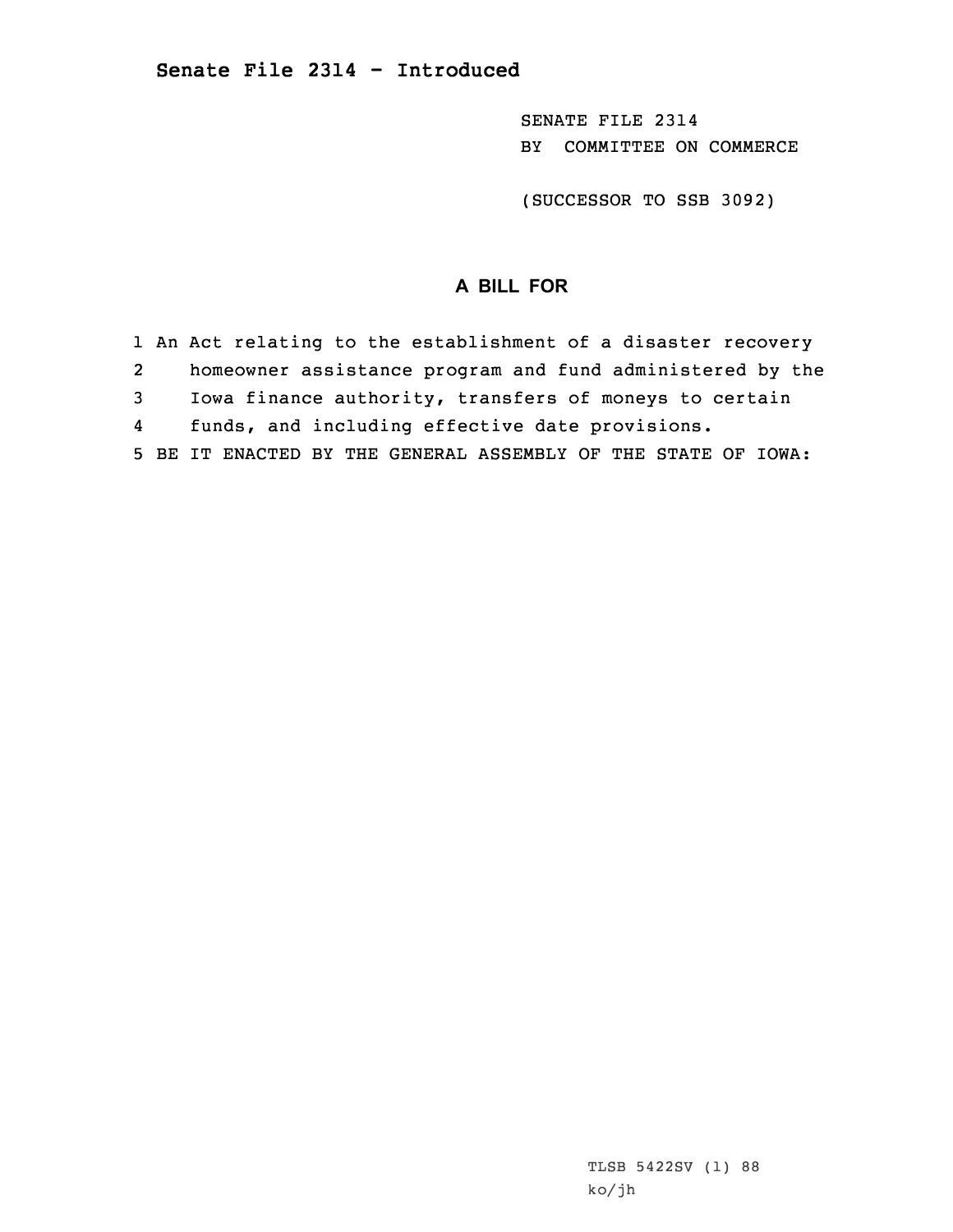SENATE FILE 2314 BY COMMITTEE ON COMMERCE

(SUCCESSOR TO SSB 3092)

## **A BILL FOR**

1 An Act relating to the establishment of <sup>a</sup> disaster recovery 2 homeowner assistance program and fund administered by the 3 Iowa finance authority, transfers of moneys to certain 4 funds, and including effective date provisions. 5 BE IT ENACTED BY THE GENERAL ASSEMBLY OF THE STATE OF IOWA: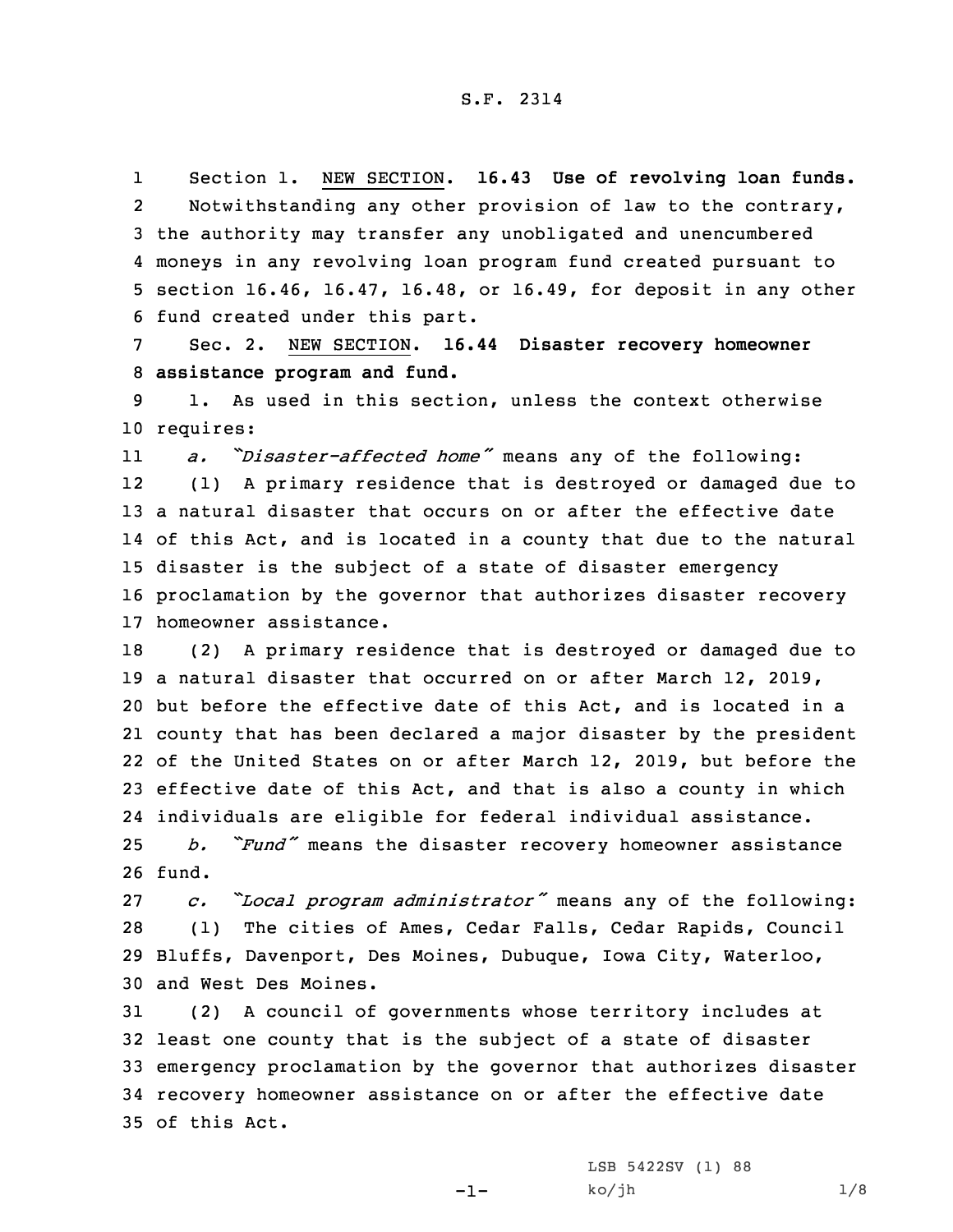1 Section 1. NEW SECTION. **16.43 Use of revolving loan funds.** 2 Notwithstanding any other provision of law to the contrary, 3 the authority may transfer any unobligated and unencumbered 4 moneys in any revolving loan program fund created pursuant to 5 section 16.46, 16.47, 16.48, or 16.49, for deposit in any other 6 fund created under this part.

7 Sec. 2. NEW SECTION. **16.44 Disaster recovery homeowner** 8 **assistance program and fund.**

9 1. As used in this section, unless the context otherwise 10 requires:

11 *a. "Disaster-affected home"* means any of the following: 12 (1) <sup>A</sup> primary residence that is destroyed or damaged due to 13 <sup>a</sup> natural disaster that occurs on or after the effective date 14 of this Act, and is located in <sup>a</sup> county that due to the natural 15 disaster is the subject of <sup>a</sup> state of disaster emergency 16 proclamation by the governor that authorizes disaster recovery 17 homeowner assistance.

 (2) <sup>A</sup> primary residence that is destroyed or damaged due to <sup>a</sup> natural disaster that occurred on or after March 12, 2019, but before the effective date of this Act, and is located in <sup>a</sup> county that has been declared <sup>a</sup> major disaster by the president of the United States on or after March 12, 2019, but before the effective date of this Act, and that is also <sup>a</sup> county in which individuals are eligible for federal individual assistance.

<sup>25</sup> *b. "Fund"* means the disaster recovery homeowner assistance 26 fund.

 *c. "Local program administrator"* means any of the following: (1) The cities of Ames, Cedar Falls, Cedar Rapids, Council Bluffs, Davenport, Des Moines, Dubuque, Iowa City, Waterloo, and West Des Moines.

 (2) <sup>A</sup> council of governments whose territory includes at least one county that is the subject of <sup>a</sup> state of disaster emergency proclamation by the governor that authorizes disaster recovery homeowner assistance on or after the effective date of this Act.

-1-

LSB 5422SV (1) 88  $ko/jh$  1/8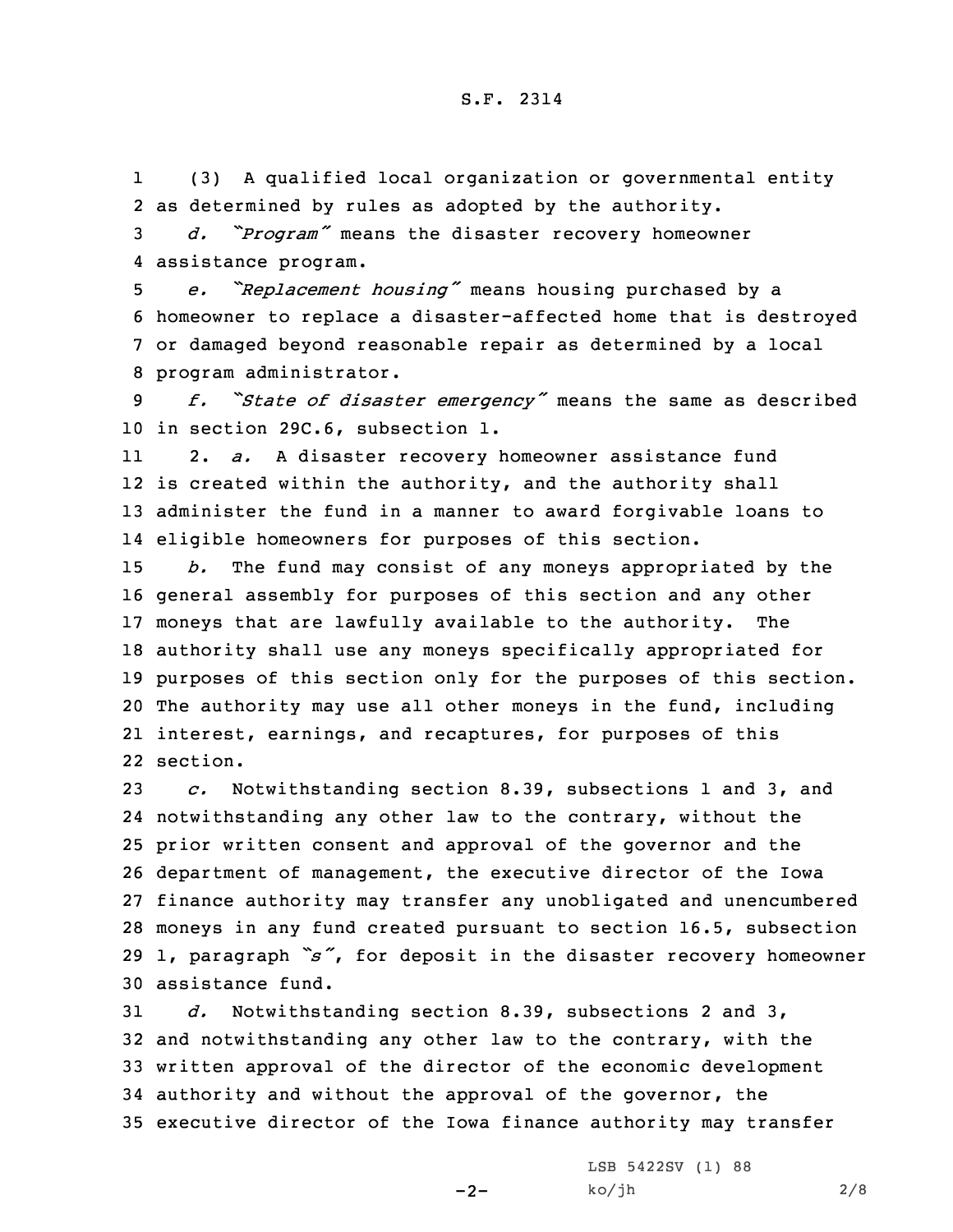1 (3) <sup>A</sup> qualified local organization or governmental entity 2 as determined by rules as adopted by the authority.

<sup>3</sup> *d. "Program"* means the disaster recovery homeowner 4 assistance program.

 *e. "Replacement housing"* means housing purchased by <sup>a</sup> homeowner to replace <sup>a</sup> disaster-affected home that is destroyed or damaged beyond reasonable repair as determined by <sup>a</sup> local program administrator.

<sup>9</sup> *f. "State of disaster emergency"* means the same as described 10 in section 29C.6, subsection 1.

11 2. *a.* <sup>A</sup> disaster recovery homeowner assistance fund 12 is created within the authority, and the authority shall 13 administer the fund in <sup>a</sup> manner to award forgivable loans to 14 eligible homeowners for purposes of this section.

 *b.* The fund may consist of any moneys appropriated by the general assembly for purposes of this section and any other moneys that are lawfully available to the authority. The authority shall use any moneys specifically appropriated for purposes of this section only for the purposes of this section. The authority may use all other moneys in the fund, including interest, earnings, and recaptures, for purposes of this 22 section.

 *c.* Notwithstanding section 8.39, subsections 1 and 3, and notwithstanding any other law to the contrary, without the prior written consent and approval of the governor and the department of management, the executive director of the Iowa finance authority may transfer any unobligated and unencumbered moneys in any fund created pursuant to section 16.5, subsection 1, paragraph *"s"*, for deposit in the disaster recovery homeowner assistance fund.

 *d.* Notwithstanding section 8.39, subsections 2 and 3, and notwithstanding any other law to the contrary, with the written approval of the director of the economic development authority and without the approval of the governor, the executive director of the Iowa finance authority may transfer

 $-2-$ 

LSB 5422SV (1) 88  $ko/jh$  2/8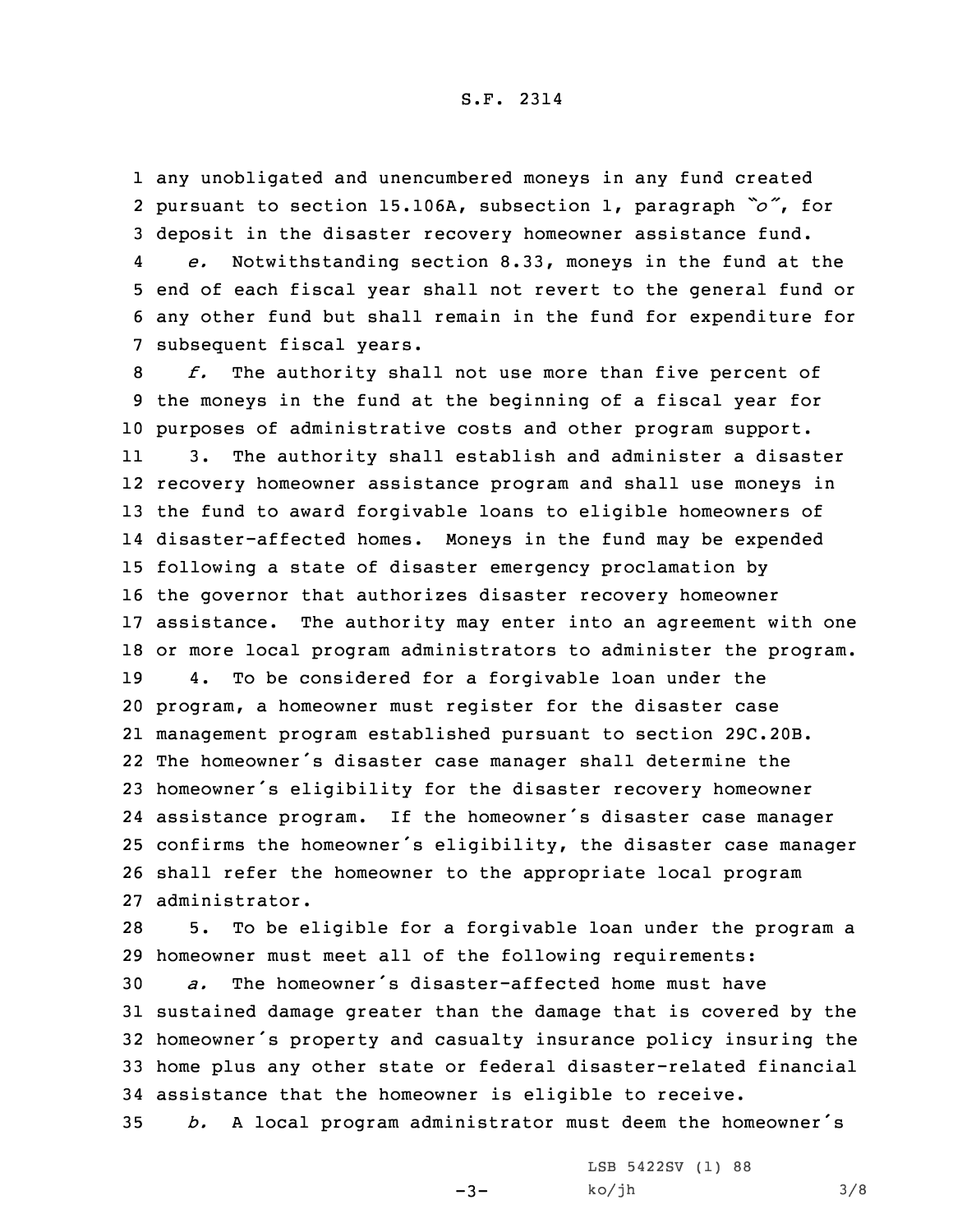1 any unobligated and unencumbered moneys in any fund created 2 pursuant to section 15.106A, subsection 1, paragraph *"o"*, for 3 deposit in the disaster recovery homeowner assistance fund.

4 *e.* Notwithstanding section 8.33, moneys in the fund at the 5 end of each fiscal year shall not revert to the general fund or 6 any other fund but shall remain in the fund for expenditure for 7 subsequent fiscal years.

 *f.* The authority shall not use more than five percent of the moneys in the fund at the beginning of <sup>a</sup> fiscal year for purposes of administrative costs and other program support. 11 3. The authority shall establish and administer <sup>a</sup> disaster recovery homeowner assistance program and shall use moneys in the fund to award forgivable loans to eligible homeowners of disaster-affected homes. Moneys in the fund may be expended following <sup>a</sup> state of disaster emergency proclamation by the governor that authorizes disaster recovery homeowner assistance. The authority may enter into an agreement with one or more local program administrators to administer the program. 4. To be considered for <sup>a</sup> forgivable loan under the program, <sup>a</sup> homeowner must register for the disaster case management program established pursuant to section 29C.20B. The homeowner's disaster case manager shall determine the homeowner's eligibility for the disaster recovery homeowner assistance program. If the homeowner's disaster case manager confirms the homeowner's eligibility, the disaster case manager shall refer the homeowner to the appropriate local program administrator.

 5. To be eligible for <sup>a</sup> forgivable loan under the program <sup>a</sup> homeowner must meet all of the following requirements: *a.* The homeowner's disaster-affected home must have sustained damage greater than the damage that is covered by the homeowner's property and casualty insurance policy insuring the home plus any other state or federal disaster-related financial assistance that the homeowner is eligible to receive.

<sup>35</sup> *b.* <sup>A</sup> local program administrator must deem the homeowner's

 $-3-$ 

LSB 5422SV (1) 88  $ko/jh$  3/8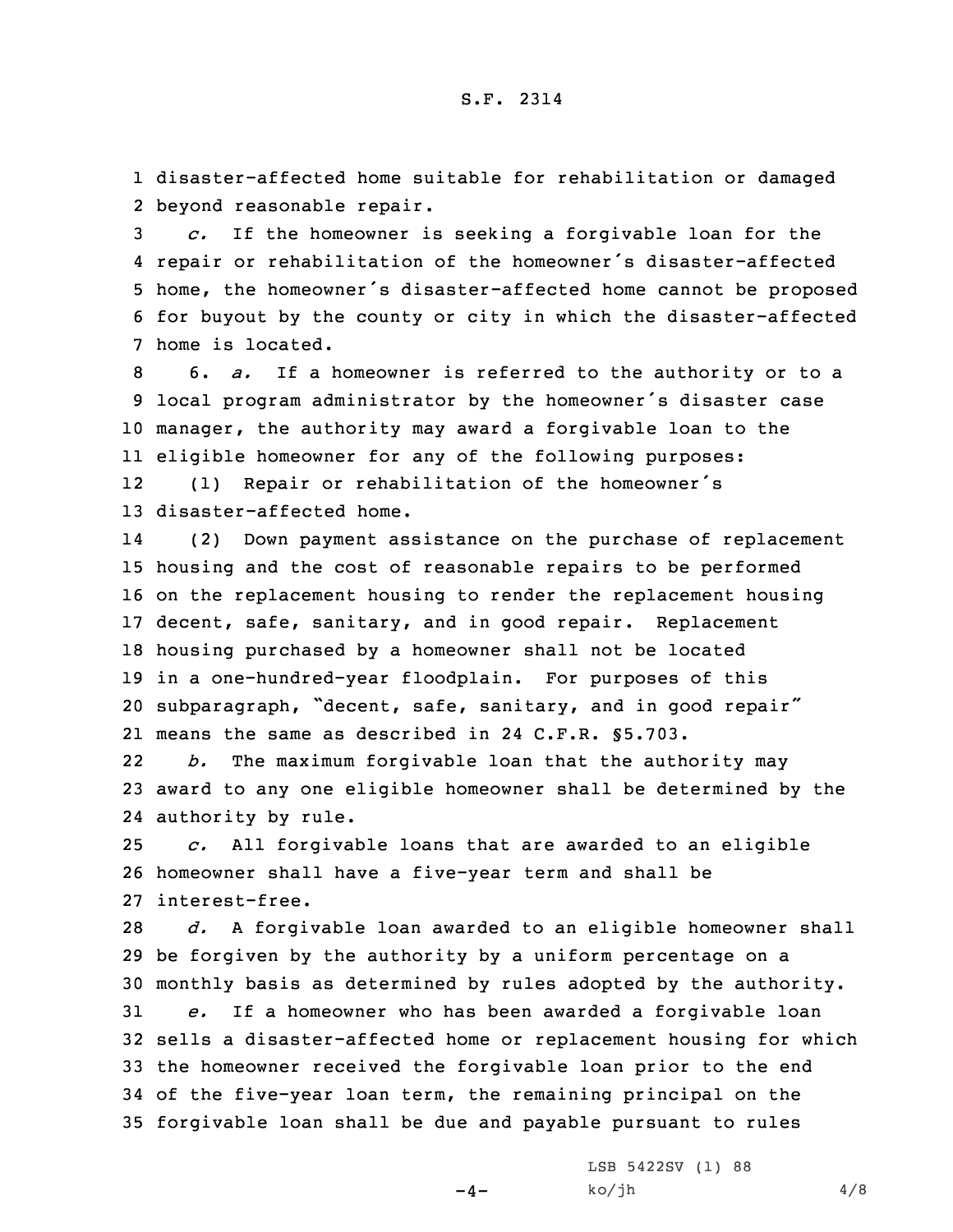1 disaster-affected home suitable for rehabilitation or damaged 2 beyond reasonable repair.

 *c.* If the homeowner is seeking <sup>a</sup> forgivable loan for the repair or rehabilitation of the homeowner's disaster-affected home, the homeowner's disaster-affected home cannot be proposed for buyout by the county or city in which the disaster-affected home is located.

 6. *a.* If <sup>a</sup> homeowner is referred to the authority or to <sup>a</sup> local program administrator by the homeowner's disaster case manager, the authority may award <sup>a</sup> forgivable loan to the eligible homeowner for any of the following purposes: 12(1) Repair or rehabilitation of the homeowner's

13 disaster-affected home.

14 (2) Down payment assistance on the purchase of replacement housing and the cost of reasonable repairs to be performed on the replacement housing to render the replacement housing decent, safe, sanitary, and in good repair. Replacement housing purchased by <sup>a</sup> homeowner shall not be located in <sup>a</sup> one-hundred-year floodplain. For purposes of this subparagraph, "decent, safe, sanitary, and in good repair" means the same as described in 24 C.F.R. §5.703.

22 *b.* The maximum forgivable loan that the authority may 23 award to any one eligible homeowner shall be determined by the 24 authority by rule.

25 *c.* All forgivable loans that are awarded to an eligible 26 homeowner shall have <sup>a</sup> five-year term and shall be 27 interest-free.

 *d.* <sup>A</sup> forgivable loan awarded to an eligible homeowner shall be forgiven by the authority by <sup>a</sup> uniform percentage on <sup>a</sup> monthly basis as determined by rules adopted by the authority. *e.* If <sup>a</sup> homeowner who has been awarded <sup>a</sup> forgivable loan sells <sup>a</sup> disaster-affected home or replacement housing for which the homeowner received the forgivable loan prior to the end of the five-year loan term, the remaining principal on the forgivable loan shall be due and payable pursuant to rules

 $-4-$ 

LSB 5422SV (1) 88  $ko/jh$  4/8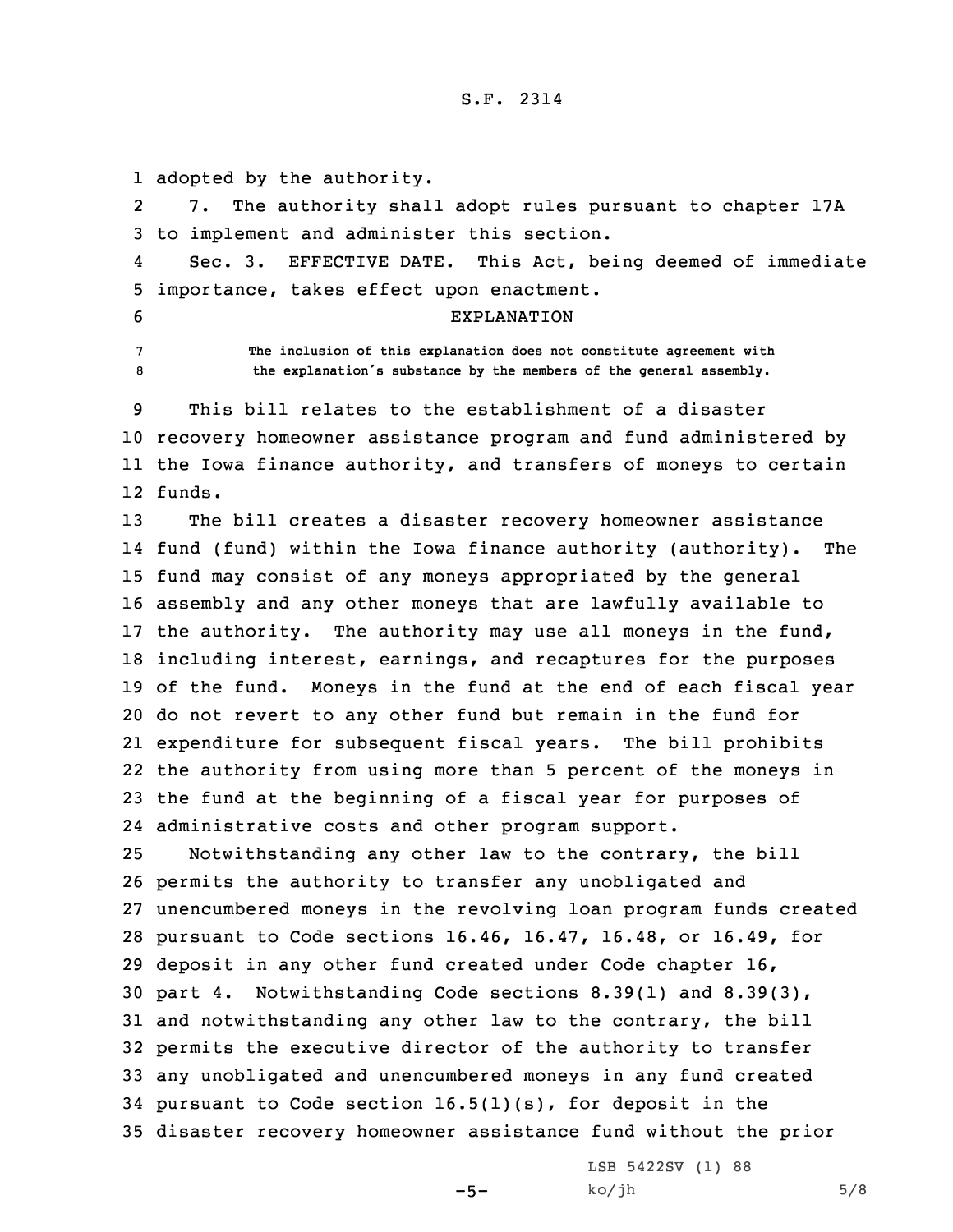1 adopted by the authority.

2 7. The authority shall adopt rules pursuant to chapter 17A 3 to implement and administer this section.

4 Sec. 3. EFFECTIVE DATE. This Act, being deemed of immediate 5 importance, takes effect upon enactment.

- 
- 

6 EXPLANATION

7 **The inclusion of this explanation does not constitute agreement with** <sup>8</sup> **the explanation's substance by the members of the general assembly.**

 This bill relates to the establishment of <sup>a</sup> disaster recovery homeowner assistance program and fund administered by the Iowa finance authority, and transfers of moneys to certain 12 funds.

 The bill creates <sup>a</sup> disaster recovery homeowner assistance fund (fund) within the Iowa finance authority (authority). The fund may consist of any moneys appropriated by the general assembly and any other moneys that are lawfully available to the authority. The authority may use all moneys in the fund, including interest, earnings, and recaptures for the purposes of the fund. Moneys in the fund at the end of each fiscal year do not revert to any other fund but remain in the fund for expenditure for subsequent fiscal years. The bill prohibits the authority from using more than 5 percent of the moneys in the fund at the beginning of <sup>a</sup> fiscal year for purposes of administrative costs and other program support.

 Notwithstanding any other law to the contrary, the bill permits the authority to transfer any unobligated and unencumbered moneys in the revolving loan program funds created pursuant to Code sections 16.46, 16.47, 16.48, or 16.49, for deposit in any other fund created under Code chapter 16, part 4. Notwithstanding Code sections 8.39(1) and 8.39(3), and notwithstanding any other law to the contrary, the bill permits the executive director of the authority to transfer any unobligated and unencumbered moneys in any fund created pursuant to Code section 16.5(1)(s), for deposit in the disaster recovery homeowner assistance fund without the prior

 $-5-$ 

LSB 5422SV (1) 88  $ko/jh$  5/8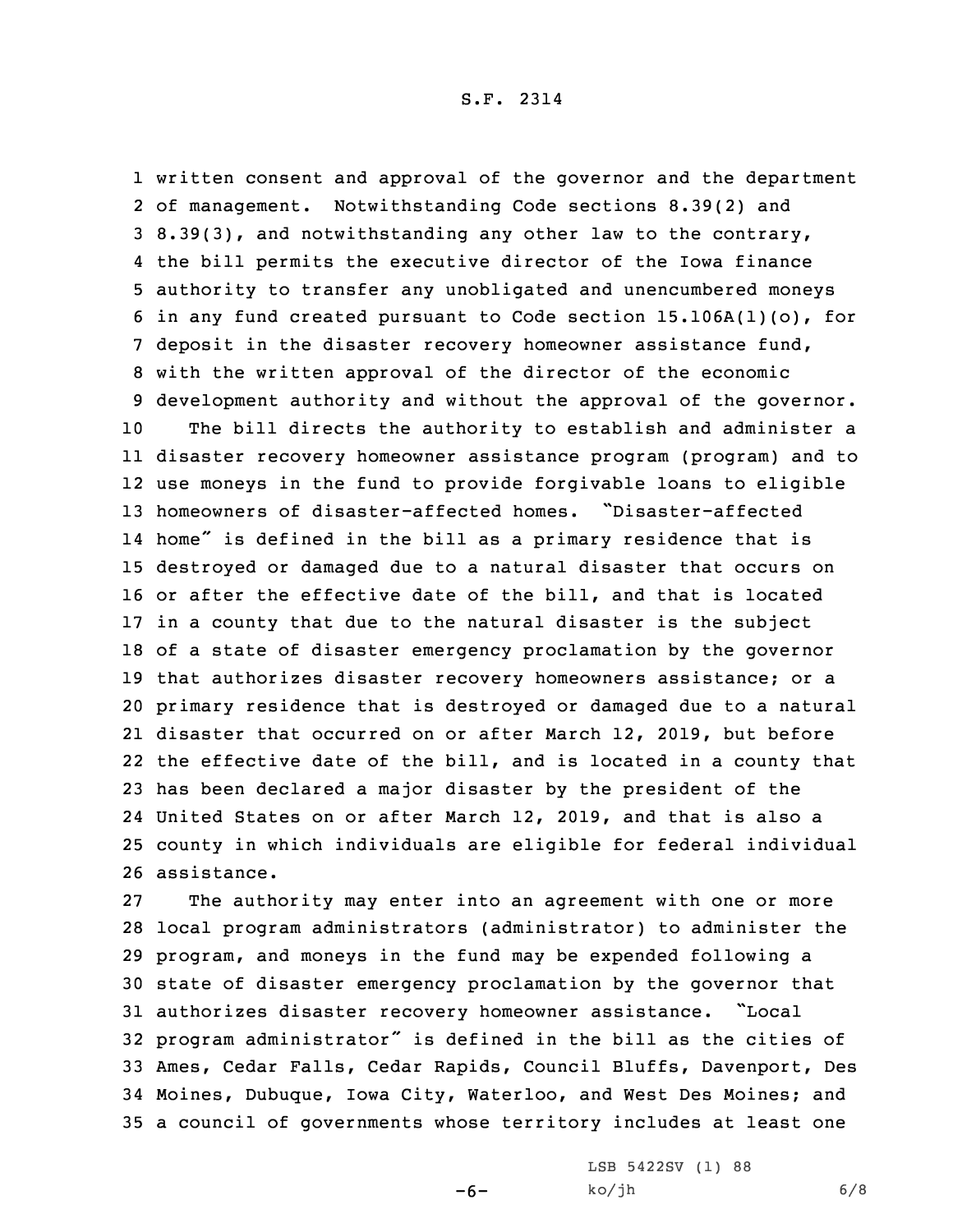written consent and approval of the governor and the department of management. Notwithstanding Code sections 8.39(2) and 8.39(3), and notwithstanding any other law to the contrary, the bill permits the executive director of the Iowa finance authority to transfer any unobligated and unencumbered moneys in any fund created pursuant to Code section 15.106A(1)(o), for 7 deposit in the disaster recovery homeowner assistance fund, with the written approval of the director of the economic development authority and without the approval of the governor. The bill directs the authority to establish and administer <sup>a</sup> disaster recovery homeowner assistance program (program) and to use moneys in the fund to provide forgivable loans to eligible homeowners of disaster-affected homes. "Disaster-affected home" is defined in the bill as <sup>a</sup> primary residence that is destroyed or damaged due to <sup>a</sup> natural disaster that occurs on or after the effective date of the bill, and that is located in <sup>a</sup> county that due to the natural disaster is the subject of <sup>a</sup> state of disaster emergency proclamation by the governor that authorizes disaster recovery homeowners assistance; or <sup>a</sup> primary residence that is destroyed or damaged due to <sup>a</sup> natural disaster that occurred on or after March 12, 2019, but before the effective date of the bill, and is located in <sup>a</sup> county that has been declared <sup>a</sup> major disaster by the president of the United States on or after March 12, 2019, and that is also <sup>a</sup> county in which individuals are eligible for federal individual assistance.

 The authority may enter into an agreement with one or more local program administrators (administrator) to administer the program, and moneys in the fund may be expended following <sup>a</sup> state of disaster emergency proclamation by the governor that authorizes disaster recovery homeowner assistance. "Local program administrator" is defined in the bill as the cities of Ames, Cedar Falls, Cedar Rapids, Council Bluffs, Davenport, Des Moines, Dubuque, Iowa City, Waterloo, and West Des Moines; and <sup>a</sup> council of governments whose territory includes at least one

 $-6-$ 

LSB 5422SV (1) 88  $ko/jh$  6/8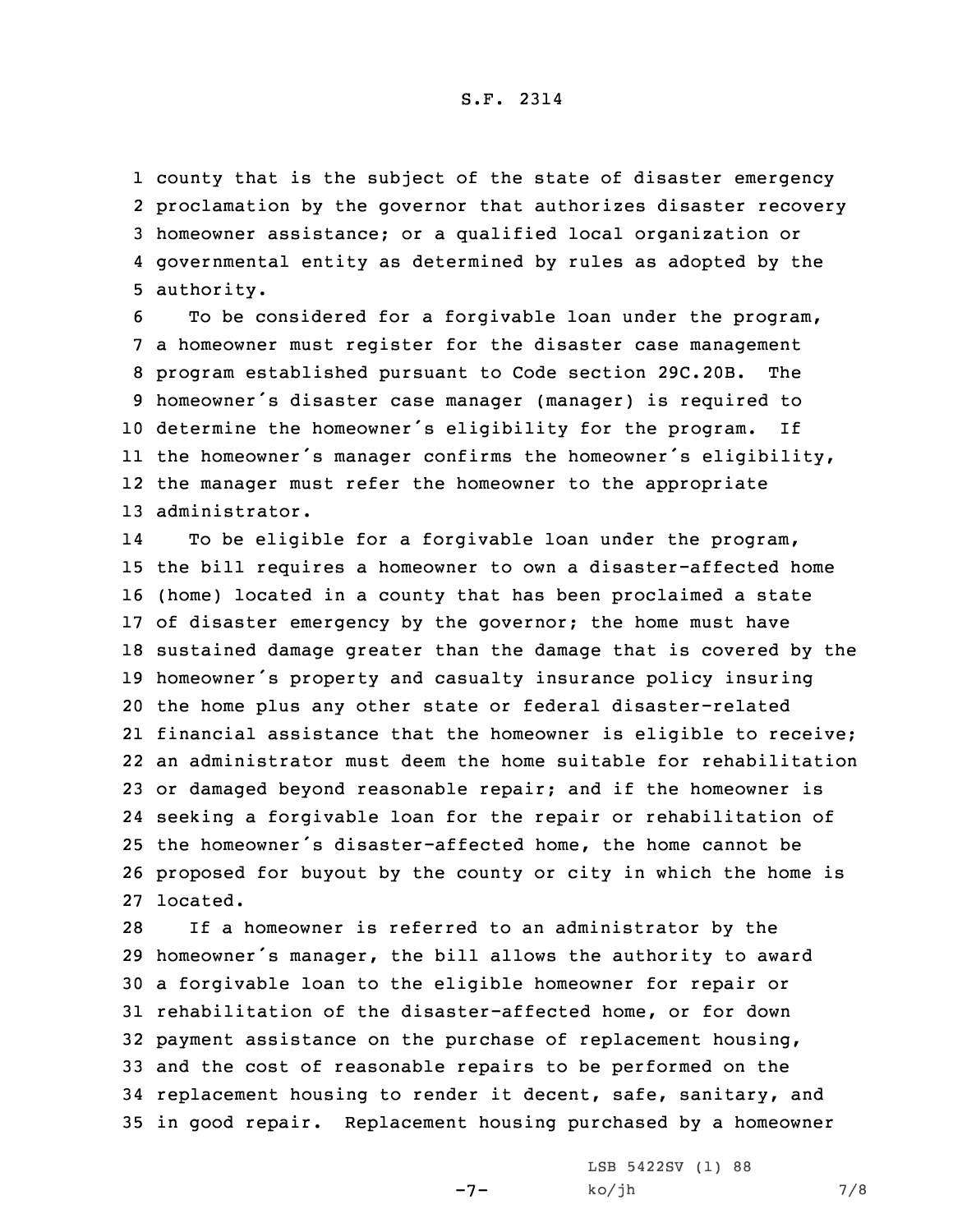county that is the subject of the state of disaster emergency proclamation by the governor that authorizes disaster recovery homeowner assistance; or <sup>a</sup> qualified local organization or governmental entity as determined by rules as adopted by the authority.

 To be considered for <sup>a</sup> forgivable loan under the program, <sup>a</sup> homeowner must register for the disaster case management program established pursuant to Code section 29C.20B. The homeowner's disaster case manager (manager) is required to determine the homeowner's eligibility for the program. If the homeowner's manager confirms the homeowner's eligibility, the manager must refer the homeowner to the appropriate administrator.

14 To be eligible for <sup>a</sup> forgivable loan under the program, the bill requires <sup>a</sup> homeowner to own <sup>a</sup> disaster-affected home (home) located in <sup>a</sup> county that has been proclaimed <sup>a</sup> state of disaster emergency by the governor; the home must have sustained damage greater than the damage that is covered by the homeowner's property and casualty insurance policy insuring the home plus any other state or federal disaster-related financial assistance that the homeowner is eligible to receive; an administrator must deem the home suitable for rehabilitation or damaged beyond reasonable repair; and if the homeowner is seeking <sup>a</sup> forgivable loan for the repair or rehabilitation of the homeowner's disaster-affected home, the home cannot be proposed for buyout by the county or city in which the home is 27 located.

 If <sup>a</sup> homeowner is referred to an administrator by the homeowner's manager, the bill allows the authority to award <sup>a</sup> forgivable loan to the eligible homeowner for repair or rehabilitation of the disaster-affected home, or for down payment assistance on the purchase of replacement housing, and the cost of reasonable repairs to be performed on the replacement housing to render it decent, safe, sanitary, and in good repair. Replacement housing purchased by <sup>a</sup> homeowner

-7-

LSB 5422SV (1) 88  $ko/jh$  7/8